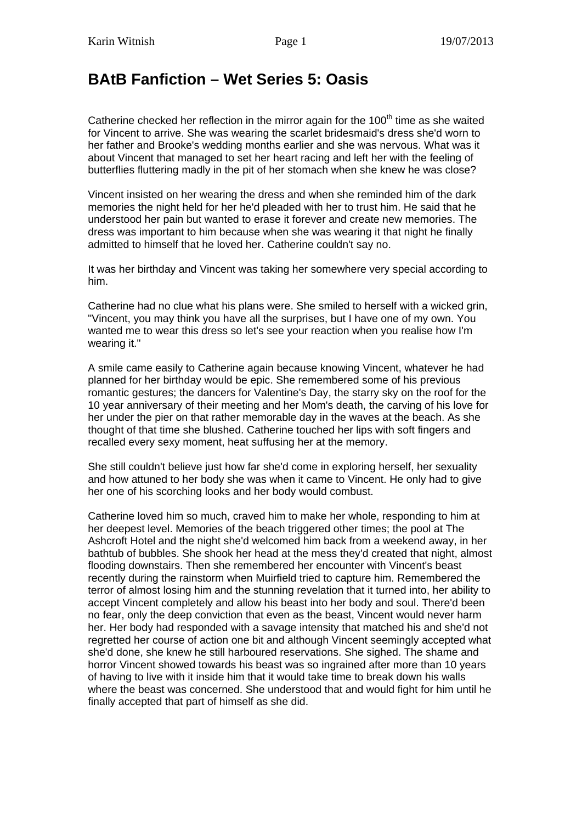## **BAtB Fanfiction – Wet Series 5: Oasis**

Catherine checked her reflection in the mirror again for the  $100<sup>th</sup>$  time as she waited for Vincent to arrive. She was wearing the scarlet bridesmaid's dress she'd worn to her father and Brooke's wedding months earlier and she was nervous. What was it about Vincent that managed to set her heart racing and left her with the feeling of butterflies fluttering madly in the pit of her stomach when she knew he was close?

Vincent insisted on her wearing the dress and when she reminded him of the dark memories the night held for her he'd pleaded with her to trust him. He said that he understood her pain but wanted to erase it forever and create new memories. The dress was important to him because when she was wearing it that night he finally admitted to himself that he loved her. Catherine couldn't say no.

It was her birthday and Vincent was taking her somewhere very special according to him.

Catherine had no clue what his plans were. She smiled to herself with a wicked grin, "Vincent, you may think you have all the surprises, but I have one of my own. You wanted me to wear this dress so let's see your reaction when you realise how I'm wearing it."

A smile came easily to Catherine again because knowing Vincent, whatever he had planned for her birthday would be epic. She remembered some of his previous romantic gestures; the dancers for Valentine's Day, the starry sky on the roof for the 10 year anniversary of their meeting and her Mom's death, the carving of his love for her under the pier on that rather memorable day in the waves at the beach. As she thought of that time she blushed. Catherine touched her lips with soft fingers and recalled every sexy moment, heat suffusing her at the memory.

She still couldn't believe just how far she'd come in exploring herself, her sexuality and how attuned to her body she was when it came to Vincent. He only had to give her one of his scorching looks and her body would combust.

Catherine loved him so much, craved him to make her whole, responding to him at her deepest level. Memories of the beach triggered other times; the pool at The Ashcroft Hotel and the night she'd welcomed him back from a weekend away, in her bathtub of bubbles. She shook her head at the mess they'd created that night, almost flooding downstairs. Then she remembered her encounter with Vincent's beast recently during the rainstorm when Muirfield tried to capture him. Remembered the terror of almost losing him and the stunning revelation that it turned into, her ability to accept Vincent completely and allow his beast into her body and soul. There'd been no fear, only the deep conviction that even as the beast, Vincent would never harm her. Her body had responded with a savage intensity that matched his and she'd not regretted her course of action one bit and although Vincent seemingly accepted what she'd done, she knew he still harboured reservations. She sighed. The shame and horror Vincent showed towards his beast was so ingrained after more than 10 years of having to live with it inside him that it would take time to break down his walls where the beast was concerned. She understood that and would fight for him until he finally accepted that part of himself as she did.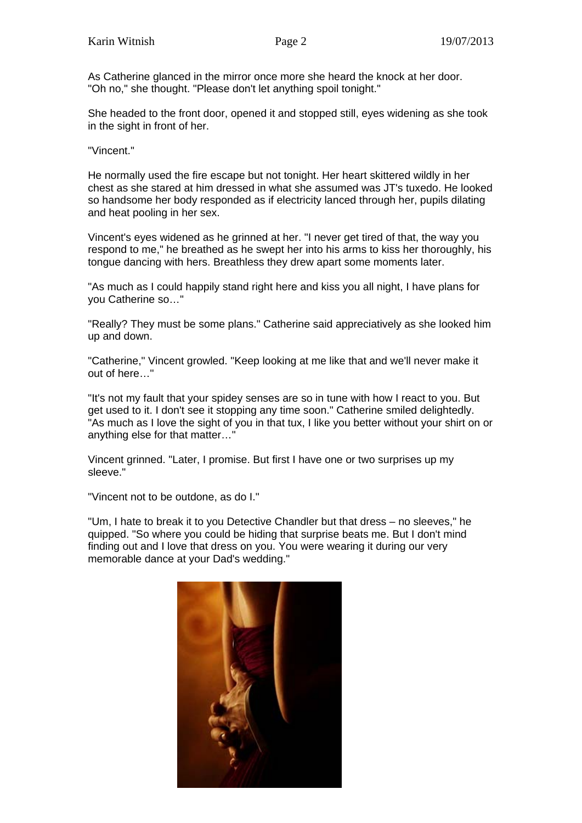As Catherine glanced in the mirror once more she heard the knock at her door. "Oh no," she thought. "Please don't let anything spoil tonight."

She headed to the front door, opened it and stopped still, eyes widening as she took in the sight in front of her.

"Vincent."

He normally used the fire escape but not tonight. Her heart skittered wildly in her chest as she stared at him dressed in what she assumed was JT's tuxedo. He looked so handsome her body responded as if electricity lanced through her, pupils dilating and heat pooling in her sex.

Vincent's eyes widened as he grinned at her. "I never get tired of that, the way you respond to me," he breathed as he swept her into his arms to kiss her thoroughly, his tongue dancing with hers. Breathless they drew apart some moments later.

"As much as I could happily stand right here and kiss you all night, I have plans for you Catherine so…"

"Really? They must be some plans." Catherine said appreciatively as she looked him up and down.

"Catherine," Vincent growled. "Keep looking at me like that and we'll never make it out of here…"

"It's not my fault that your spidey senses are so in tune with how I react to you. But get used to it. I don't see it stopping any time soon." Catherine smiled delightedly. "As much as I love the sight of you in that tux, I like you better without your shirt on or anything else for that matter…"

Vincent grinned. "Later, I promise. But first I have one or two surprises up my sleeve."

"Vincent not to be outdone, as do I."

"Um, I hate to break it to you Detective Chandler but that dress – no sleeves," he quipped. "So where you could be hiding that surprise beats me. But I don't mind finding out and I love that dress on you. You were wearing it during our very memorable dance at your Dad's wedding."

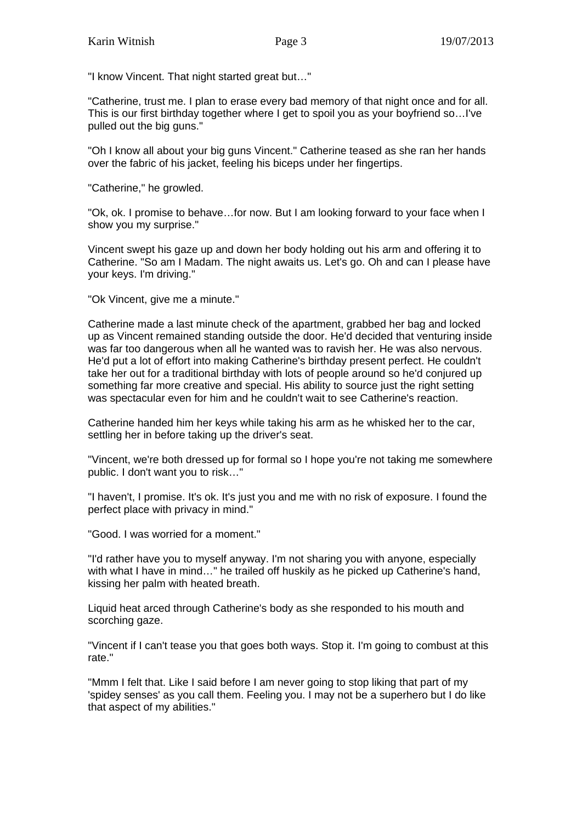"I know Vincent. That night started great but…"

"Catherine, trust me. I plan to erase every bad memory of that night once and for all. This is our first birthday together where I get to spoil you as your boyfriend so…I've pulled out the big guns."

"Oh I know all about your big guns Vincent." Catherine teased as she ran her hands over the fabric of his jacket, feeling his biceps under her fingertips.

"Catherine," he growled.

"Ok, ok. I promise to behave…for now. But I am looking forward to your face when I show you my surprise."

Vincent swept his gaze up and down her body holding out his arm and offering it to Catherine. "So am I Madam. The night awaits us. Let's go. Oh and can I please have your keys. I'm driving."

"Ok Vincent, give me a minute."

Catherine made a last minute check of the apartment, grabbed her bag and locked up as Vincent remained standing outside the door. He'd decided that venturing inside was far too dangerous when all he wanted was to ravish her. He was also nervous. He'd put a lot of effort into making Catherine's birthday present perfect. He couldn't take her out for a traditional birthday with lots of people around so he'd conjured up something far more creative and special. His ability to source just the right setting was spectacular even for him and he couldn't wait to see Catherine's reaction.

Catherine handed him her keys while taking his arm as he whisked her to the car, settling her in before taking up the driver's seat.

"Vincent, we're both dressed up for formal so I hope you're not taking me somewhere public. I don't want you to risk…"

"I haven't, I promise. It's ok. It's just you and me with no risk of exposure. I found the perfect place with privacy in mind."

"Good. I was worried for a moment."

"I'd rather have you to myself anyway. I'm not sharing you with anyone, especially with what I have in mind…" he trailed off huskily as he picked up Catherine's hand, kissing her palm with heated breath.

Liquid heat arced through Catherine's body as she responded to his mouth and scorching gaze.

"Vincent if I can't tease you that goes both ways. Stop it. I'm going to combust at this rate."

"Mmm I felt that. Like I said before I am never going to stop liking that part of my 'spidey senses' as you call them. Feeling you. I may not be a superhero but I do like that aspect of my abilities."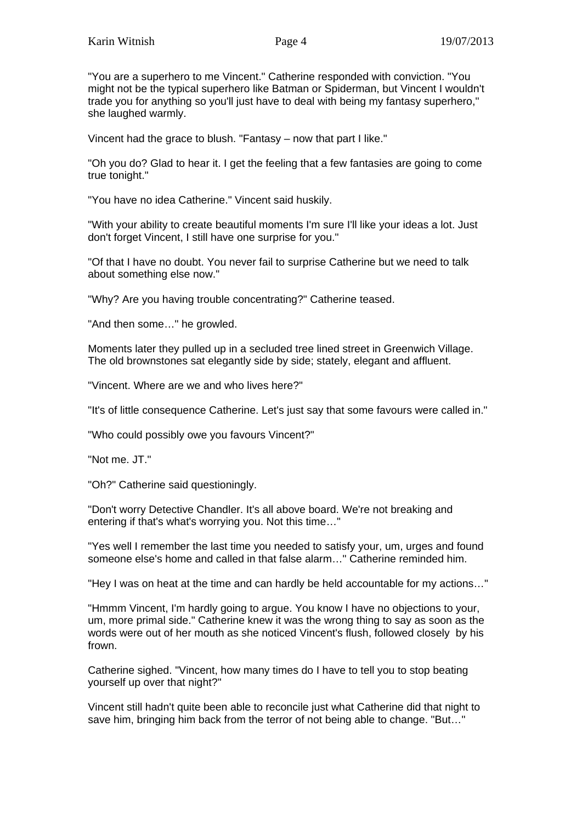"You are a superhero to me Vincent." Catherine responded with conviction. "You might not be the typical superhero like Batman or Spiderman, but Vincent I wouldn't trade you for anything so you'll just have to deal with being my fantasy superhero," she laughed warmly.

Vincent had the grace to blush. "Fantasy – now that part I like."

"Oh you do? Glad to hear it. I get the feeling that a few fantasies are going to come true tonight."

"You have no idea Catherine." Vincent said huskily.

"With your ability to create beautiful moments I'm sure I'll like your ideas a lot. Just don't forget Vincent, I still have one surprise for you."

"Of that I have no doubt. You never fail to surprise Catherine but we need to talk about something else now."

"Why? Are you having trouble concentrating?" Catherine teased.

"And then some…" he growled.

Moments later they pulled up in a secluded tree lined street in Greenwich Village. The old brownstones sat elegantly side by side; stately, elegant and affluent.

"Vincent. Where are we and who lives here?"

"It's of little consequence Catherine. Let's just say that some favours were called in."

"Who could possibly owe you favours Vincent?"

"Not me. JT."

"Oh?" Catherine said questioningly.

"Don't worry Detective Chandler. It's all above board. We're not breaking and entering if that's what's worrying you. Not this time…"

"Yes well I remember the last time you needed to satisfy your, um, urges and found someone else's home and called in that false alarm…" Catherine reminded him.

"Hey I was on heat at the time and can hardly be held accountable for my actions…"

"Hmmm Vincent, I'm hardly going to argue. You know I have no objections to your, um, more primal side." Catherine knew it was the wrong thing to say as soon as the words were out of her mouth as she noticed Vincent's flush, followed closely by his frown.

Catherine sighed. "Vincent, how many times do I have to tell you to stop beating yourself up over that night?"

Vincent still hadn't quite been able to reconcile just what Catherine did that night to save him, bringing him back from the terror of not being able to change. "But…"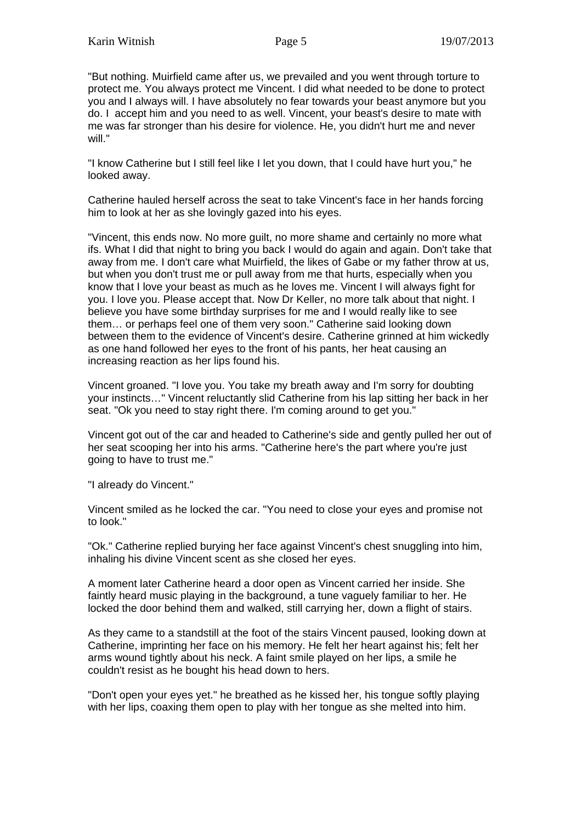"But nothing. Muirfield came after us, we prevailed and you went through torture to protect me. You always protect me Vincent. I did what needed to be done to protect you and I always will. I have absolutely no fear towards your beast anymore but you do. I accept him and you need to as well. Vincent, your beast's desire to mate with me was far stronger than his desire for violence. He, you didn't hurt me and never will."

"I know Catherine but I still feel like I let you down, that I could have hurt you," he looked away.

Catherine hauled herself across the seat to take Vincent's face in her hands forcing him to look at her as she lovingly gazed into his eyes.

"Vincent, this ends now. No more guilt, no more shame and certainly no more what ifs. What I did that night to bring you back I would do again and again. Don't take that away from me. I don't care what Muirfield, the likes of Gabe or my father throw at us, but when you don't trust me or pull away from me that hurts, especially when you know that I love your beast as much as he loves me. Vincent I will always fight for you. I love you. Please accept that. Now Dr Keller, no more talk about that night. I believe you have some birthday surprises for me and I would really like to see them… or perhaps feel one of them very soon." Catherine said looking down between them to the evidence of Vincent's desire. Catherine grinned at him wickedly as one hand followed her eyes to the front of his pants, her heat causing an increasing reaction as her lips found his.

Vincent groaned. "I love you. You take my breath away and I'm sorry for doubting your instincts…" Vincent reluctantly slid Catherine from his lap sitting her back in her seat. "Ok you need to stay right there. I'm coming around to get you."

Vincent got out of the car and headed to Catherine's side and gently pulled her out of her seat scooping her into his arms. "Catherine here's the part where you're just going to have to trust me."

"I already do Vincent."

Vincent smiled as he locked the car. "You need to close your eyes and promise not to look."

"Ok." Catherine replied burying her face against Vincent's chest snuggling into him, inhaling his divine Vincent scent as she closed her eyes.

A moment later Catherine heard a door open as Vincent carried her inside. She faintly heard music playing in the background, a tune vaguely familiar to her. He locked the door behind them and walked, still carrying her, down a flight of stairs.

As they came to a standstill at the foot of the stairs Vincent paused, looking down at Catherine, imprinting her face on his memory. He felt her heart against his; felt her arms wound tightly about his neck. A faint smile played on her lips, a smile he couldn't resist as he bought his head down to hers.

"Don't open your eyes yet." he breathed as he kissed her, his tongue softly playing with her lips, coaxing them open to play with her tongue as she melted into him.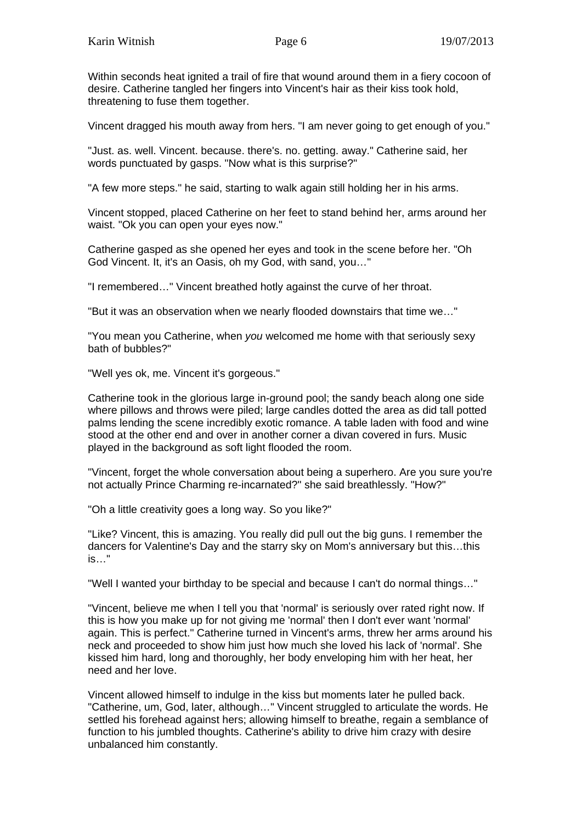Within seconds heat ignited a trail of fire that wound around them in a fiery cocoon of desire. Catherine tangled her fingers into Vincent's hair as their kiss took hold, threatening to fuse them together.

Vincent dragged his mouth away from hers. "I am never going to get enough of you."

"Just. as. well. Vincent. because. there's. no. getting. away." Catherine said, her words punctuated by gasps. "Now what is this surprise?"

"A few more steps." he said, starting to walk again still holding her in his arms.

Vincent stopped, placed Catherine on her feet to stand behind her, arms around her waist. "Ok you can open your eyes now."

Catherine gasped as she opened her eyes and took in the scene before her. "Oh God Vincent. It, it's an Oasis, oh my God, with sand, you…"

"I remembered…" Vincent breathed hotly against the curve of her throat.

"But it was an observation when we nearly flooded downstairs that time we…"

"You mean you Catherine, when *you* welcomed me home with that seriously sexy bath of bubbles?"

"Well yes ok, me. Vincent it's gorgeous."

Catherine took in the glorious large in-ground pool; the sandy beach along one side where pillows and throws were piled; large candles dotted the area as did tall potted palms lending the scene incredibly exotic romance. A table laden with food and wine stood at the other end and over in another corner a divan covered in furs. Music played in the background as soft light flooded the room.

"Vincent, forget the whole conversation about being a superhero. Are you sure you're not actually Prince Charming re-incarnated?" she said breathlessly. "How?"

"Oh a little creativity goes a long way. So you like?"

"Like? Vincent, this is amazing. You really did pull out the big guns. I remember the dancers for Valentine's Day and the starry sky on Mom's anniversary but this…this is…"

"Well I wanted your birthday to be special and because I can't do normal things…"

"Vincent, believe me when I tell you that 'normal' is seriously over rated right now. If this is how you make up for not giving me 'normal' then I don't ever want 'normal' again. This is perfect." Catherine turned in Vincent's arms, threw her arms around his neck and proceeded to show him just how much she loved his lack of 'normal'. She kissed him hard, long and thoroughly, her body enveloping him with her heat, her need and her love.

Vincent allowed himself to indulge in the kiss but moments later he pulled back. "Catherine, um, God, later, although…" Vincent struggled to articulate the words. He settled his forehead against hers; allowing himself to breathe, regain a semblance of function to his jumbled thoughts. Catherine's ability to drive him crazy with desire unbalanced him constantly.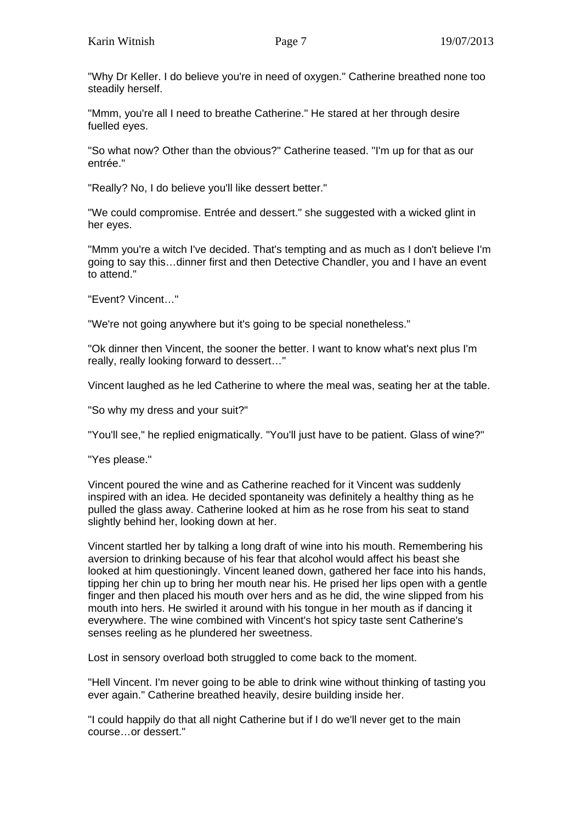"Why Dr Keller. I do believe you're in need of oxygen." Catherine breathed none too steadily herself.

"Mmm, you're all I need to breathe Catherine." He stared at her through desire fuelled eyes.

"So what now? Other than the obvious?" Catherine teased. "I'm up for that as our entrée."

"Really? No, I do believe you'll like dessert better."

"We could compromise. Entrée and dessert." she suggested with a wicked glint in her eyes.

"Mmm you're a witch I've decided. That's tempting and as much as I don't believe I'm going to say this…dinner first and then Detective Chandler, you and I have an event to attend."

"Event? Vincent…"

"We're not going anywhere but it's going to be special nonetheless."

"Ok dinner then Vincent, the sooner the better. I want to know what's next plus I'm really, really looking forward to dessert…"

Vincent laughed as he led Catherine to where the meal was, seating her at the table.

"So why my dress and your suit?"

"You'll see," he replied enigmatically. "You'll just have to be patient. Glass of wine?"

"Yes please."

Vincent poured the wine and as Catherine reached for it Vincent was suddenly inspired with an idea. He decided spontaneity was definitely a healthy thing as he pulled the glass away. Catherine looked at him as he rose from his seat to stand slightly behind her, looking down at her.

Vincent startled her by talking a long draft of wine into his mouth. Remembering his aversion to drinking because of his fear that alcohol would affect his beast she looked at him questioningly. Vincent leaned down, gathered her face into his hands, tipping her chin up to bring her mouth near his. He prised her lips open with a gentle finger and then placed his mouth over hers and as he did, the wine slipped from his mouth into hers. He swirled it around with his tongue in her mouth as if dancing it everywhere. The wine combined with Vincent's hot spicy taste sent Catherine's senses reeling as he plundered her sweetness.

Lost in sensory overload both struggled to come back to the moment.

"Hell Vincent. I'm never going to be able to drink wine without thinking of tasting you ever again." Catherine breathed heavily, desire building inside her.

"I could happily do that all night Catherine but if I do we'll never get to the main course…or dessert."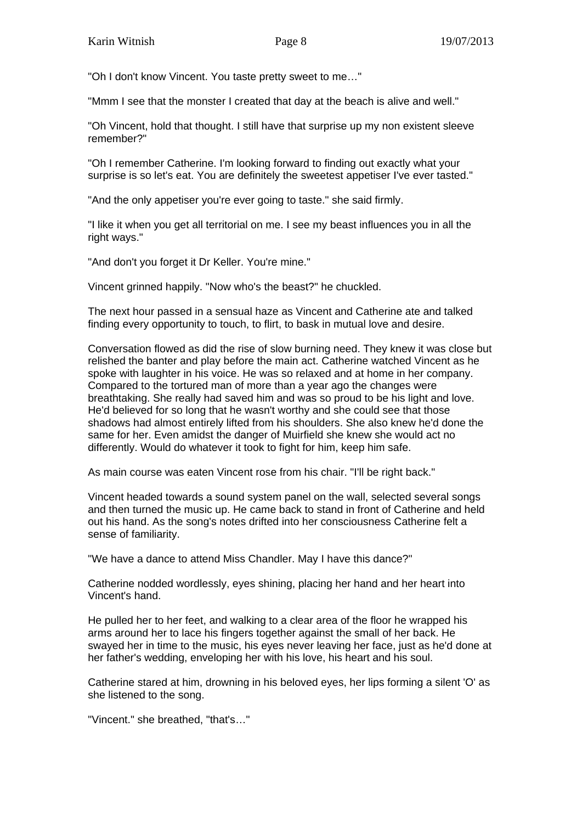"Oh I don't know Vincent. You taste pretty sweet to me…"

"Mmm I see that the monster I created that day at the beach is alive and well."

"Oh Vincent, hold that thought. I still have that surprise up my non existent sleeve remember?"

"Oh I remember Catherine. I'm looking forward to finding out exactly what your surprise is so let's eat. You are definitely the sweetest appetiser I've ever tasted."

"And the only appetiser you're ever going to taste." she said firmly.

"I like it when you get all territorial on me. I see my beast influences you in all the right ways."

"And don't you forget it Dr Keller. You're mine."

Vincent grinned happily. "Now who's the beast?" he chuckled.

The next hour passed in a sensual haze as Vincent and Catherine ate and talked finding every opportunity to touch, to flirt, to bask in mutual love and desire.

Conversation flowed as did the rise of slow burning need. They knew it was close but relished the banter and play before the main act. Catherine watched Vincent as he spoke with laughter in his voice. He was so relaxed and at home in her company. Compared to the tortured man of more than a year ago the changes were breathtaking. She really had saved him and was so proud to be his light and love. He'd believed for so long that he wasn't worthy and she could see that those shadows had almost entirely lifted from his shoulders. She also knew he'd done the same for her. Even amidst the danger of Muirfield she knew she would act no differently. Would do whatever it took to fight for him, keep him safe.

As main course was eaten Vincent rose from his chair. "I'll be right back."

Vincent headed towards a sound system panel on the wall, selected several songs and then turned the music up. He came back to stand in front of Catherine and held out his hand. As the song's notes drifted into her consciousness Catherine felt a sense of familiarity.

"We have a dance to attend Miss Chandler. May I have this dance?"

Catherine nodded wordlessly, eyes shining, placing her hand and her heart into Vincent's hand.

He pulled her to her feet, and walking to a clear area of the floor he wrapped his arms around her to lace his fingers together against the small of her back. He swayed her in time to the music, his eyes never leaving her face, just as he'd done at her father's wedding, enveloping her with his love, his heart and his soul.

Catherine stared at him, drowning in his beloved eyes, her lips forming a silent 'O' as she listened to the song.

"Vincent." she breathed, "that's…"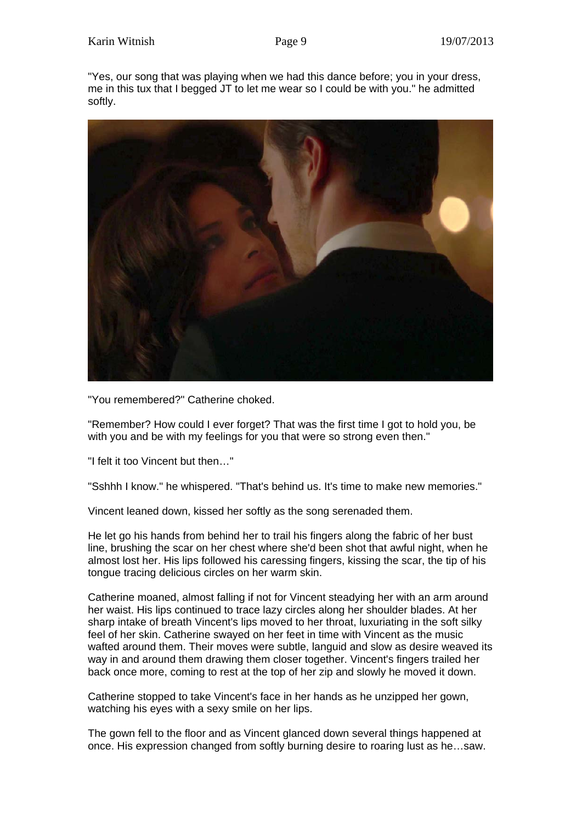"Yes, our song that was playing when we had this dance before; you in your dress, me in this tux that I begged JT to let me wear so I could be with you." he admitted softly.



"You remembered?" Catherine choked.

"Remember? How could I ever forget? That was the first time I got to hold you, be with you and be with my feelings for you that were so strong even then."

"I felt it too Vincent but then…"

"Sshhh I know." he whispered. "That's behind us. It's time to make new memories."

Vincent leaned down, kissed her softly as the song serenaded them.

He let go his hands from behind her to trail his fingers along the fabric of her bust line, brushing the scar on her chest where she'd been shot that awful night, when he almost lost her. His lips followed his caressing fingers, kissing the scar, the tip of his tongue tracing delicious circles on her warm skin.

Catherine moaned, almost falling if not for Vincent steadying her with an arm around her waist. His lips continued to trace lazy circles along her shoulder blades. At her sharp intake of breath Vincent's lips moved to her throat, luxuriating in the soft silky feel of her skin. Catherine swayed on her feet in time with Vincent as the music wafted around them. Their moves were subtle, languid and slow as desire weaved its way in and around them drawing them closer together. Vincent's fingers trailed her back once more, coming to rest at the top of her zip and slowly he moved it down.

Catherine stopped to take Vincent's face in her hands as he unzipped her gown, watching his eyes with a sexy smile on her lips.

The gown fell to the floor and as Vincent glanced down several things happened at once. His expression changed from softly burning desire to roaring lust as he…saw.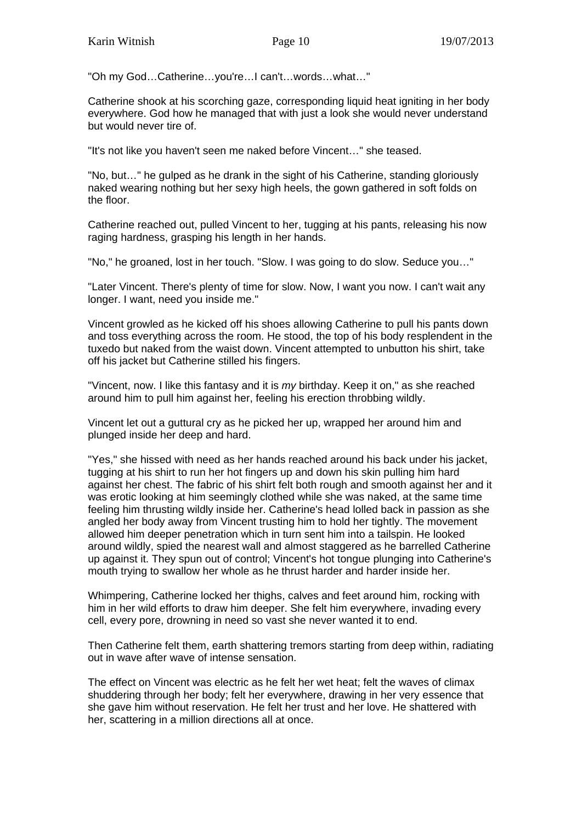"Oh my God…Catherine…you're…I can't…words…what…"

Catherine shook at his scorching gaze, corresponding liquid heat igniting in her body everywhere. God how he managed that with just a look she would never understand but would never tire of.

"It's not like you haven't seen me naked before Vincent…" she teased.

"No, but…" he gulped as he drank in the sight of his Catherine, standing gloriously naked wearing nothing but her sexy high heels, the gown gathered in soft folds on the floor.

Catherine reached out, pulled Vincent to her, tugging at his pants, releasing his now raging hardness, grasping his length in her hands.

"No," he groaned, lost in her touch. "Slow. I was going to do slow. Seduce you…"

"Later Vincent. There's plenty of time for slow. Now, I want you now. I can't wait any longer. I want, need you inside me."

Vincent growled as he kicked off his shoes allowing Catherine to pull his pants down and toss everything across the room. He stood, the top of his body resplendent in the tuxedo but naked from the waist down. Vincent attempted to unbutton his shirt, take off his jacket but Catherine stilled his fingers.

"Vincent, now. I like this fantasy and it is *my* birthday. Keep it on," as she reached around him to pull him against her, feeling his erection throbbing wildly.

Vincent let out a guttural cry as he picked her up, wrapped her around him and plunged inside her deep and hard.

"Yes," she hissed with need as her hands reached around his back under his jacket, tugging at his shirt to run her hot fingers up and down his skin pulling him hard against her chest. The fabric of his shirt felt both rough and smooth against her and it was erotic looking at him seemingly clothed while she was naked, at the same time feeling him thrusting wildly inside her. Catherine's head lolled back in passion as she angled her body away from Vincent trusting him to hold her tightly. The movement allowed him deeper penetration which in turn sent him into a tailspin. He looked around wildly, spied the nearest wall and almost staggered as he barrelled Catherine up against it. They spun out of control; Vincent's hot tongue plunging into Catherine's mouth trying to swallow her whole as he thrust harder and harder inside her.

Whimpering, Catherine locked her thighs, calves and feet around him, rocking with him in her wild efforts to draw him deeper. She felt him everywhere, invading every cell, every pore, drowning in need so vast she never wanted it to end.

Then Catherine felt them, earth shattering tremors starting from deep within, radiating out in wave after wave of intense sensation.

The effect on Vincent was electric as he felt her wet heat; felt the waves of climax shuddering through her body; felt her everywhere, drawing in her very essence that she gave him without reservation. He felt her trust and her love. He shattered with her, scattering in a million directions all at once.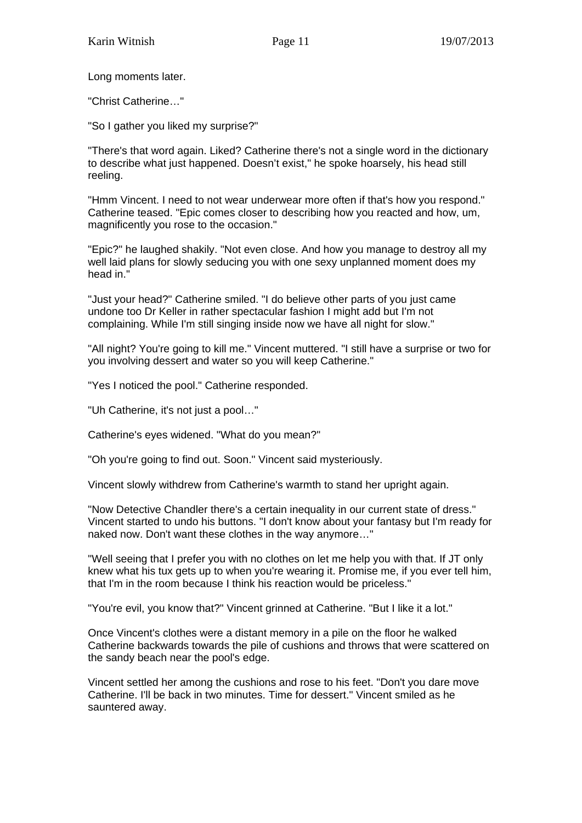Long moments later.

"Christ Catherine…"

"So I gather you liked my surprise?"

"There's that word again. Liked? Catherine there's not a single word in the dictionary to describe what just happened. Doesn't exist," he spoke hoarsely, his head still reeling.

"Hmm Vincent. I need to not wear underwear more often if that's how you respond." Catherine teased. "Epic comes closer to describing how you reacted and how, um, magnificently you rose to the occasion."

"Epic?" he laughed shakily. "Not even close. And how you manage to destroy all my well laid plans for slowly seducing you with one sexy unplanned moment does my head in."

"Just your head?" Catherine smiled. "I do believe other parts of you just came undone too Dr Keller in rather spectacular fashion I might add but I'm not complaining. While I'm still singing inside now we have all night for slow."

"All night? You're going to kill me." Vincent muttered. "I still have a surprise or two for you involving dessert and water so you will keep Catherine."

"Yes I noticed the pool." Catherine responded.

"Uh Catherine, it's not just a pool…"

Catherine's eyes widened. "What do you mean?"

"Oh you're going to find out. Soon." Vincent said mysteriously.

Vincent slowly withdrew from Catherine's warmth to stand her upright again.

"Now Detective Chandler there's a certain inequality in our current state of dress." Vincent started to undo his buttons. "I don't know about your fantasy but I'm ready for naked now. Don't want these clothes in the way anymore…"

"Well seeing that I prefer you with no clothes on let me help you with that. If JT only knew what his tux gets up to when you're wearing it. Promise me, if you ever tell him, that I'm in the room because I think his reaction would be priceless."

"You're evil, you know that?" Vincent grinned at Catherine. "But I like it a lot."

Once Vincent's clothes were a distant memory in a pile on the floor he walked Catherine backwards towards the pile of cushions and throws that were scattered on the sandy beach near the pool's edge.

Vincent settled her among the cushions and rose to his feet. "Don't you dare move Catherine. I'll be back in two minutes. Time for dessert." Vincent smiled as he sauntered away.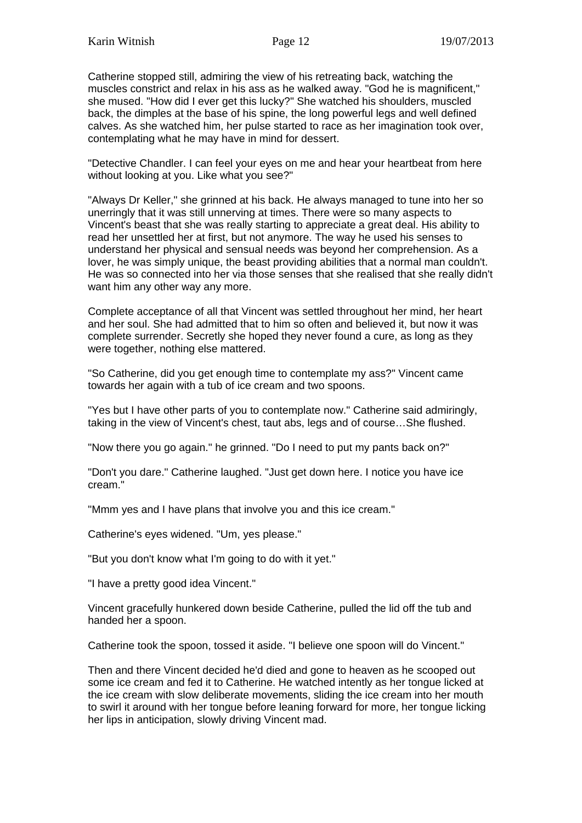Catherine stopped still, admiring the view of his retreating back, watching the muscles constrict and relax in his ass as he walked away. "God he is magnificent," she mused. "How did I ever get this lucky?" She watched his shoulders, muscled back, the dimples at the base of his spine, the long powerful legs and well defined calves. As she watched him, her pulse started to race as her imagination took over, contemplating what he may have in mind for dessert.

"Detective Chandler. I can feel your eyes on me and hear your heartbeat from here without looking at you. Like what you see?"

"Always Dr Keller," she grinned at his back. He always managed to tune into her so unerringly that it was still unnerving at times. There were so many aspects to Vincent's beast that she was really starting to appreciate a great deal. His ability to read her unsettled her at first, but not anymore. The way he used his senses to understand her physical and sensual needs was beyond her comprehension. As a lover, he was simply unique, the beast providing abilities that a normal man couldn't. He was so connected into her via those senses that she realised that she really didn't want him any other way any more.

Complete acceptance of all that Vincent was settled throughout her mind, her heart and her soul. She had admitted that to him so often and believed it, but now it was complete surrender. Secretly she hoped they never found a cure, as long as they were together, nothing else mattered.

"So Catherine, did you get enough time to contemplate my ass?" Vincent came towards her again with a tub of ice cream and two spoons.

"Yes but I have other parts of you to contemplate now." Catherine said admiringly, taking in the view of Vincent's chest, taut abs, legs and of course…She flushed.

"Now there you go again." he grinned. "Do I need to put my pants back on?"

"Don't you dare." Catherine laughed. "Just get down here. I notice you have ice cream."

"Mmm yes and I have plans that involve you and this ice cream."

Catherine's eyes widened. "Um, yes please."

"But you don't know what I'm going to do with it yet."

"I have a pretty good idea Vincent."

Vincent gracefully hunkered down beside Catherine, pulled the lid off the tub and handed her a spoon.

Catherine took the spoon, tossed it aside. "I believe one spoon will do Vincent."

Then and there Vincent decided he'd died and gone to heaven as he scooped out some ice cream and fed it to Catherine. He watched intently as her tongue licked at the ice cream with slow deliberate movements, sliding the ice cream into her mouth to swirl it around with her tongue before leaning forward for more, her tongue licking her lips in anticipation, slowly driving Vincent mad.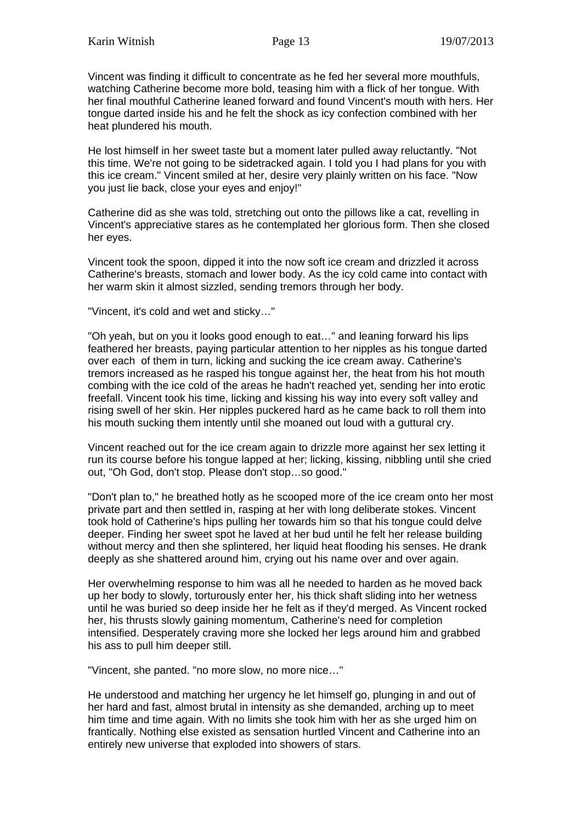Vincent was finding it difficult to concentrate as he fed her several more mouthfuls, watching Catherine become more bold, teasing him with a flick of her tongue. With her final mouthful Catherine leaned forward and found Vincent's mouth with hers. Her tongue darted inside his and he felt the shock as icy confection combined with her heat plundered his mouth.

He lost himself in her sweet taste but a moment later pulled away reluctantly. "Not this time. We're not going to be sidetracked again. I told you I had plans for you with this ice cream." Vincent smiled at her, desire very plainly written on his face. "Now you just lie back, close your eyes and enjoy!"

Catherine did as she was told, stretching out onto the pillows like a cat, revelling in Vincent's appreciative stares as he contemplated her glorious form. Then she closed her eyes.

Vincent took the spoon, dipped it into the now soft ice cream and drizzled it across Catherine's breasts, stomach and lower body. As the icy cold came into contact with her warm skin it almost sizzled, sending tremors through her body.

"Vincent, it's cold and wet and sticky…"

"Oh yeah, but on you it looks good enough to eat…" and leaning forward his lips feathered her breasts, paying particular attention to her nipples as his tongue darted over each of them in turn, licking and sucking the ice cream away. Catherine's tremors increased as he rasped his tongue against her, the heat from his hot mouth combing with the ice cold of the areas he hadn't reached yet, sending her into erotic freefall. Vincent took his time, licking and kissing his way into every soft valley and rising swell of her skin. Her nipples puckered hard as he came back to roll them into his mouth sucking them intently until she moaned out loud with a guttural cry.

Vincent reached out for the ice cream again to drizzle more against her sex letting it run its course before his tongue lapped at her; licking, kissing, nibbling until she cried out, "Oh God, don't stop. Please don't stop…so good."

"Don't plan to," he breathed hotly as he scooped more of the ice cream onto her most private part and then settled in, rasping at her with long deliberate stokes. Vincent took hold of Catherine's hips pulling her towards him so that his tongue could delve deeper. Finding her sweet spot he laved at her bud until he felt her release building without mercy and then she splintered, her liquid heat flooding his senses. He drank deeply as she shattered around him, crying out his name over and over again.

Her overwhelming response to him was all he needed to harden as he moved back up her body to slowly, torturously enter her, his thick shaft sliding into her wetness until he was buried so deep inside her he felt as if they'd merged. As Vincent rocked her, his thrusts slowly gaining momentum, Catherine's need for completion intensified. Desperately craving more she locked her legs around him and grabbed his ass to pull him deeper still.

"Vincent, she panted. "no more slow, no more nice…"

He understood and matching her urgency he let himself go, plunging in and out of her hard and fast, almost brutal in intensity as she demanded, arching up to meet him time and time again. With no limits she took him with her as she urged him on frantically. Nothing else existed as sensation hurtled Vincent and Catherine into an entirely new universe that exploded into showers of stars.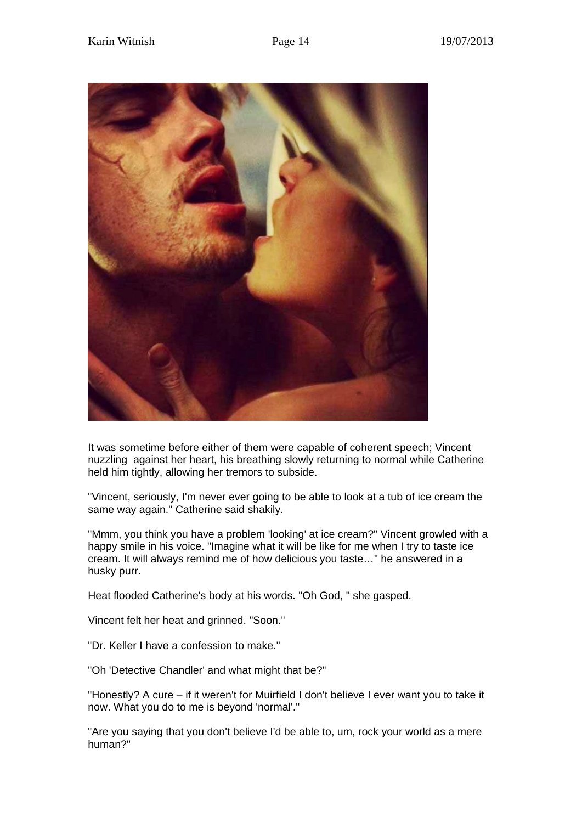

It was sometime before either of them were capable of coherent speech; Vincent nuzzling against her heart, his breathing slowly returning to normal while Catherine held him tightly, allowing her tremors to subside.

"Vincent, seriously, I'm never ever going to be able to look at a tub of ice cream the same way again." Catherine said shakily.

"Mmm, you think you have a problem 'looking' at ice cream?" Vincent growled with a happy smile in his voice. "Imagine what it will be like for me when I try to taste ice cream. It will always remind me of how delicious you taste…" he answered in a husky purr.

Heat flooded Catherine's body at his words. "Oh God, " she gasped.

Vincent felt her heat and grinned. "Soon."

"Dr. Keller I have a confession to make."

"Oh 'Detective Chandler' and what might that be?"

"Honestly? A cure – if it weren't for Muirfield I don't believe I ever want you to take it now. What you do to me is beyond 'normal'."

"Are you saying that you don't believe I'd be able to, um, rock your world as a mere human?"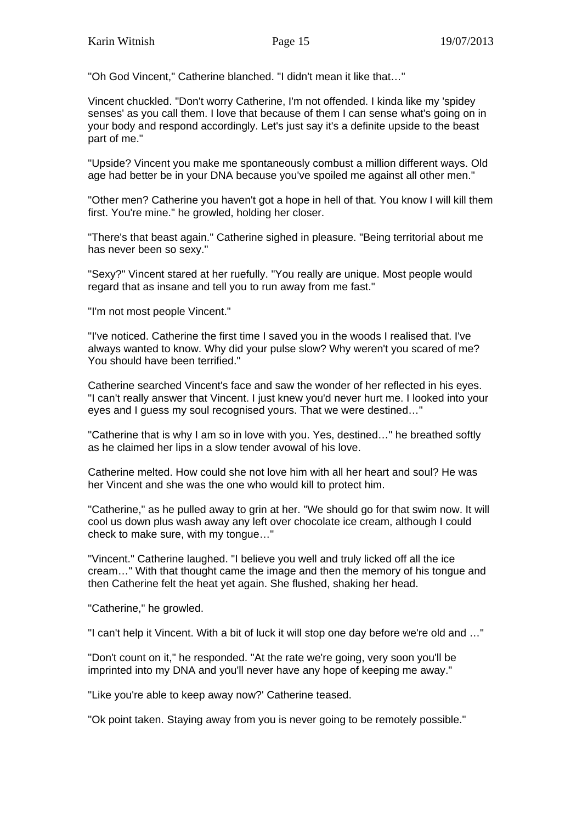"Oh God Vincent," Catherine blanched. "I didn't mean it like that…"

Vincent chuckled. "Don't worry Catherine, I'm not offended. I kinda like my 'spidey senses' as you call them. I love that because of them I can sense what's going on in your body and respond accordingly. Let's just say it's a definite upside to the beast part of me."

"Upside? Vincent you make me spontaneously combust a million different ways. Old age had better be in your DNA because you've spoiled me against all other men."

"Other men? Catherine you haven't got a hope in hell of that. You know I will kill them first. You're mine." he growled, holding her closer.

"There's that beast again." Catherine sighed in pleasure. "Being territorial about me has never been so sexy."

"Sexy?" Vincent stared at her ruefully. "You really are unique. Most people would regard that as insane and tell you to run away from me fast."

"I'm not most people Vincent."

"I've noticed. Catherine the first time I saved you in the woods I realised that. I've always wanted to know. Why did your pulse slow? Why weren't you scared of me? You should have been terrified."

Catherine searched Vincent's face and saw the wonder of her reflected in his eyes. "I can't really answer that Vincent. I just knew you'd never hurt me. I looked into your eyes and I guess my soul recognised yours. That we were destined…"

"Catherine that is why I am so in love with you. Yes, destined…" he breathed softly as he claimed her lips in a slow tender avowal of his love.

Catherine melted. How could she not love him with all her heart and soul? He was her Vincent and she was the one who would kill to protect him.

"Catherine," as he pulled away to grin at her. "We should go for that swim now. It will cool us down plus wash away any left over chocolate ice cream, although I could check to make sure, with my tongue…"

"Vincent." Catherine laughed. "I believe you well and truly licked off all the ice cream…" With that thought came the image and then the memory of his tongue and then Catherine felt the heat yet again. She flushed, shaking her head.

"Catherine," he growled.

"I can't help it Vincent. With a bit of luck it will stop one day before we're old and …"

"Don't count on it," he responded. "At the rate we're going, very soon you'll be imprinted into my DNA and you'll never have any hope of keeping me away."

"Like you're able to keep away now?' Catherine teased.

"Ok point taken. Staying away from you is never going to be remotely possible."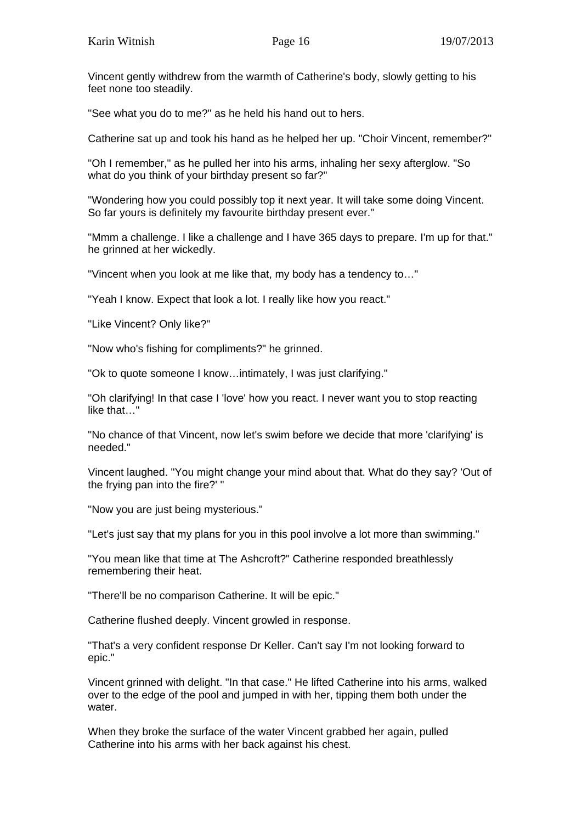Vincent gently withdrew from the warmth of Catherine's body, slowly getting to his feet none too steadily.

"See what you do to me?" as he held his hand out to hers.

Catherine sat up and took his hand as he helped her up. "Choir Vincent, remember?"

"Oh I remember," as he pulled her into his arms, inhaling her sexy afterglow. "So what do you think of your birthday present so far?"

"Wondering how you could possibly top it next year. It will take some doing Vincent. So far yours is definitely my favourite birthday present ever."

"Mmm a challenge. I like a challenge and I have 365 days to prepare. I'm up for that." he grinned at her wickedly.

"Vincent when you look at me like that, my body has a tendency to…"

"Yeah I know. Expect that look a lot. I really like how you react."

"Like Vincent? Only like?"

"Now who's fishing for compliments?" he grinned.

"Ok to quote someone I know…intimately, I was just clarifying."

"Oh clarifying! In that case I 'love' how you react. I never want you to stop reacting like that…"

"No chance of that Vincent, now let's swim before we decide that more 'clarifying' is needed."

Vincent laughed. "You might change your mind about that. What do they say? 'Out of the frying pan into the fire?' "

"Now you are just being mysterious."

"Let's just say that my plans for you in this pool involve a lot more than swimming."

"You mean like that time at The Ashcroft?" Catherine responded breathlessly remembering their heat.

"There'll be no comparison Catherine. It will be epic."

Catherine flushed deeply. Vincent growled in response.

"That's a very confident response Dr Keller. Can't say I'm not looking forward to epic."

Vincent grinned with delight. "In that case." He lifted Catherine into his arms, walked over to the edge of the pool and jumped in with her, tipping them both under the water.

When they broke the surface of the water Vincent grabbed her again, pulled Catherine into his arms with her back against his chest.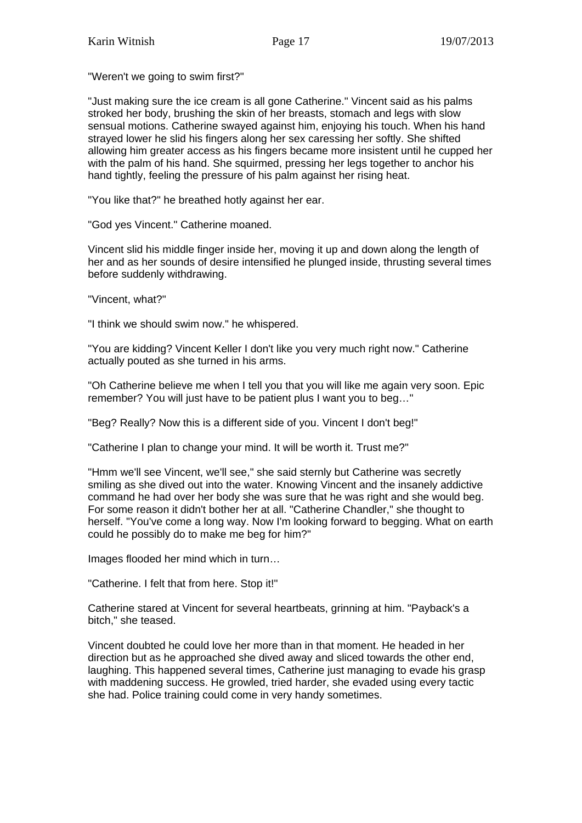"Weren't we going to swim first?"

"Just making sure the ice cream is all gone Catherine." Vincent said as his palms stroked her body, brushing the skin of her breasts, stomach and legs with slow sensual motions. Catherine swayed against him, enjoying his touch. When his hand strayed lower he slid his fingers along her sex caressing her softly. She shifted allowing him greater access as his fingers became more insistent until he cupped her with the palm of his hand. She squirmed, pressing her legs together to anchor his hand tightly, feeling the pressure of his palm against her rising heat.

"You like that?" he breathed hotly against her ear.

"God yes Vincent." Catherine moaned.

Vincent slid his middle finger inside her, moving it up and down along the length of her and as her sounds of desire intensified he plunged inside, thrusting several times before suddenly withdrawing.

"Vincent, what?"

"I think we should swim now." he whispered.

"You are kidding? Vincent Keller I don't like you very much right now." Catherine actually pouted as she turned in his arms.

"Oh Catherine believe me when I tell you that you will like me again very soon. Epic remember? You will just have to be patient plus I want you to beg…"

"Beg? Really? Now this is a different side of you. Vincent I don't beg!"

"Catherine I plan to change your mind. It will be worth it. Trust me?"

"Hmm we'll see Vincent, we'll see," she said sternly but Catherine was secretly smiling as she dived out into the water. Knowing Vincent and the insanely addictive command he had over her body she was sure that he was right and she would beg. For some reason it didn't bother her at all. "Catherine Chandler," she thought to herself. "You've come a long way. Now I'm looking forward to begging. What on earth could he possibly do to make me beg for him?"

Images flooded her mind which in turn…

"Catherine. I felt that from here. Stop it!"

Catherine stared at Vincent for several heartbeats, grinning at him. "Payback's a bitch," she teased.

Vincent doubted he could love her more than in that moment. He headed in her direction but as he approached she dived away and sliced towards the other end, laughing. This happened several times, Catherine just managing to evade his grasp with maddening success. He growled, tried harder, she evaded using every tactic she had. Police training could come in very handy sometimes.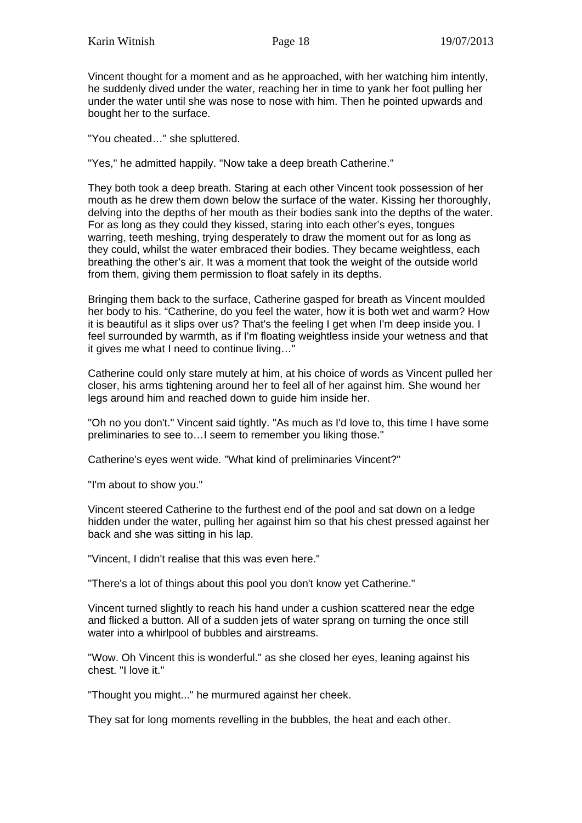Vincent thought for a moment and as he approached, with her watching him intently, he suddenly dived under the water, reaching her in time to yank her foot pulling her under the water until she was nose to nose with him. Then he pointed upwards and bought her to the surface.

"You cheated…" she spluttered.

"Yes," he admitted happily. "Now take a deep breath Catherine."

They both took a deep breath. Staring at each other Vincent took possession of her mouth as he drew them down below the surface of the water. Kissing her thoroughly, delving into the depths of her mouth as their bodies sank into the depths of the water. For as long as they could they kissed, staring into each other's eyes, tongues warring, teeth meshing, trying desperately to draw the moment out for as long as they could, whilst the water embraced their bodies. They became weightless, each breathing the other's air. It was a moment that took the weight of the outside world from them, giving them permission to float safely in its depths.

Bringing them back to the surface, Catherine gasped for breath as Vincent moulded her body to his. "Catherine, do you feel the water, how it is both wet and warm? How it is beautiful as it slips over us? That's the feeling I get when I'm deep inside you. I feel surrounded by warmth, as if I'm floating weightless inside your wetness and that it gives me what I need to continue living…"

Catherine could only stare mutely at him, at his choice of words as Vincent pulled her closer, his arms tightening around her to feel all of her against him. She wound her legs around him and reached down to guide him inside her.

"Oh no you don't." Vincent said tightly. "As much as I'd love to, this time I have some preliminaries to see to…I seem to remember you liking those."

Catherine's eyes went wide. "What kind of preliminaries Vincent?"

"I'm about to show you."

Vincent steered Catherine to the furthest end of the pool and sat down on a ledge hidden under the water, pulling her against him so that his chest pressed against her back and she was sitting in his lap.

"Vincent, I didn't realise that this was even here."

"There's a lot of things about this pool you don't know yet Catherine."

Vincent turned slightly to reach his hand under a cushion scattered near the edge and flicked a button. All of a sudden jets of water sprang on turning the once still water into a whirlpool of bubbles and airstreams.

"Wow. Oh Vincent this is wonderful." as she closed her eyes, leaning against his chest. "I love it."

"Thought you might..." he murmured against her cheek.

They sat for long moments revelling in the bubbles, the heat and each other.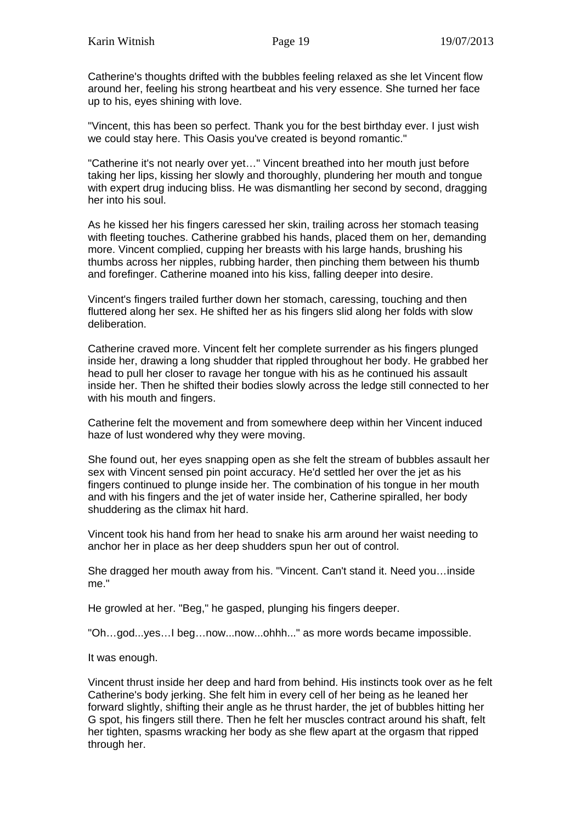Catherine's thoughts drifted with the bubbles feeling relaxed as she let Vincent flow around her, feeling his strong heartbeat and his very essence. She turned her face up to his, eyes shining with love.

"Vincent, this has been so perfect. Thank you for the best birthday ever. I just wish we could stay here. This Oasis you've created is beyond romantic."

"Catherine it's not nearly over yet…" Vincent breathed into her mouth just before taking her lips, kissing her slowly and thoroughly, plundering her mouth and tongue with expert drug inducing bliss. He was dismantling her second by second, dragging her into his soul.

As he kissed her his fingers caressed her skin, trailing across her stomach teasing with fleeting touches. Catherine grabbed his hands, placed them on her, demanding more. Vincent complied, cupping her breasts with his large hands, brushing his thumbs across her nipples, rubbing harder, then pinching them between his thumb and forefinger. Catherine moaned into his kiss, falling deeper into desire.

Vincent's fingers trailed further down her stomach, caressing, touching and then fluttered along her sex. He shifted her as his fingers slid along her folds with slow deliberation.

Catherine craved more. Vincent felt her complete surrender as his fingers plunged inside her, drawing a long shudder that rippled throughout her body. He grabbed her head to pull her closer to ravage her tongue with his as he continued his assault inside her. Then he shifted their bodies slowly across the ledge still connected to her with his mouth and fingers.

Catherine felt the movement and from somewhere deep within her Vincent induced haze of lust wondered why they were moving.

She found out, her eyes snapping open as she felt the stream of bubbles assault her sex with Vincent sensed pin point accuracy. He'd settled her over the jet as his fingers continued to plunge inside her. The combination of his tongue in her mouth and with his fingers and the jet of water inside her, Catherine spiralled, her body shuddering as the climax hit hard.

Vincent took his hand from her head to snake his arm around her waist needing to anchor her in place as her deep shudders spun her out of control.

She dragged her mouth away from his. "Vincent. Can't stand it. Need you…inside me."

He growled at her. "Beg," he gasped, plunging his fingers deeper.

"Oh…god...yes…I beg…now...now...ohhh..." as more words became impossible.

It was enough.

Vincent thrust inside her deep and hard from behind. His instincts took over as he felt Catherine's body jerking. She felt him in every cell of her being as he leaned her forward slightly, shifting their angle as he thrust harder, the jet of bubbles hitting her G spot, his fingers still there. Then he felt her muscles contract around his shaft, felt her tighten, spasms wracking her body as she flew apart at the orgasm that ripped through her.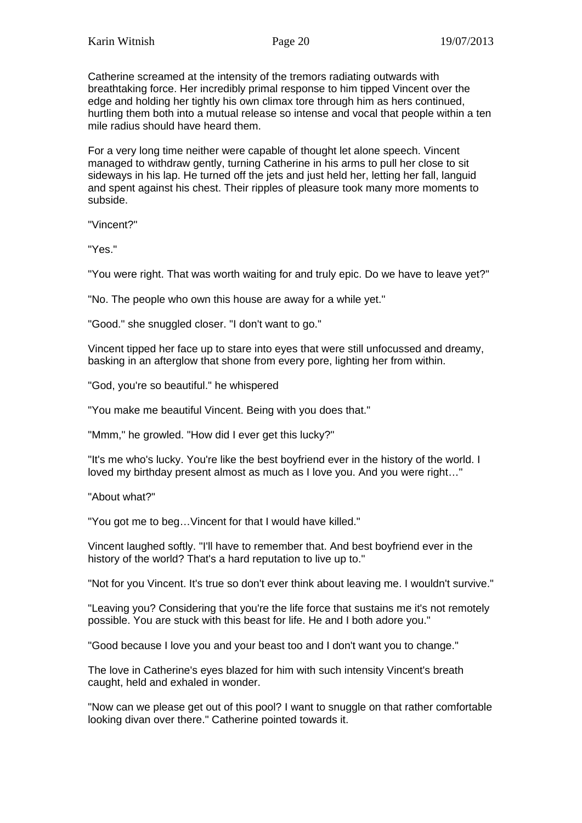Catherine screamed at the intensity of the tremors radiating outwards with breathtaking force. Her incredibly primal response to him tipped Vincent over the edge and holding her tightly his own climax tore through him as hers continued, hurtling them both into a mutual release so intense and vocal that people within a ten mile radius should have heard them.

For a very long time neither were capable of thought let alone speech. Vincent managed to withdraw gently, turning Catherine in his arms to pull her close to sit sideways in his lap. He turned off the jets and just held her, letting her fall, languid and spent against his chest. Their ripples of pleasure took many more moments to subside.

"Vincent?"

"Yes."

"You were right. That was worth waiting for and truly epic. Do we have to leave yet?"

"No. The people who own this house are away for a while yet."

"Good." she snuggled closer. "I don't want to go."

Vincent tipped her face up to stare into eyes that were still unfocussed and dreamy, basking in an afterglow that shone from every pore, lighting her from within.

"God, you're so beautiful." he whispered

"You make me beautiful Vincent. Being with you does that."

"Mmm," he growled. "How did I ever get this lucky?"

"It's me who's lucky. You're like the best boyfriend ever in the history of the world. I loved my birthday present almost as much as I love you. And you were right…"

"About what?"

"You got me to beg…Vincent for that I would have killed."

Vincent laughed softly. "I'll have to remember that. And best boyfriend ever in the history of the world? That's a hard reputation to live up to."

"Not for you Vincent. It's true so don't ever think about leaving me. I wouldn't survive."

"Leaving you? Considering that you're the life force that sustains me it's not remotely possible. You are stuck with this beast for life. He and I both adore you."

"Good because I love you and your beast too and I don't want you to change."

The love in Catherine's eyes blazed for him with such intensity Vincent's breath caught, held and exhaled in wonder.

"Now can we please get out of this pool? I want to snuggle on that rather comfortable looking divan over there." Catherine pointed towards it.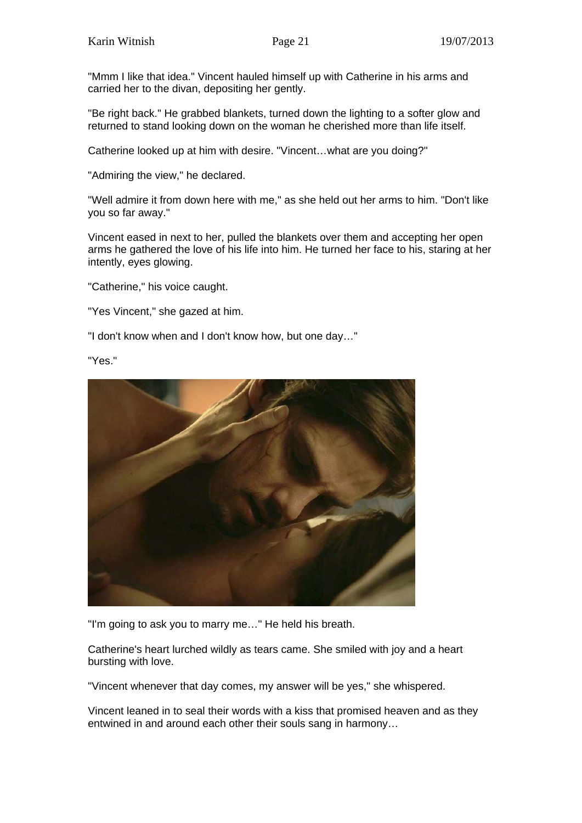"Mmm I like that idea." Vincent hauled himself up with Catherine in his arms and carried her to the divan, depositing her gently.

"Be right back." He grabbed blankets, turned down the lighting to a softer glow and returned to stand looking down on the woman he cherished more than life itself.

Catherine looked up at him with desire. "Vincent…what are you doing?"

"Admiring the view," he declared.

"Well admire it from down here with me," as she held out her arms to him. "Don't like you so far away."

Vincent eased in next to her, pulled the blankets over them and accepting her open arms he gathered the love of his life into him. He turned her face to his, staring at her intently, eyes glowing.

"Catherine," his voice caught.

"Yes Vincent," she gazed at him.

"I don't know when and I don't know how, but one day…"

"Yes."



"I'm going to ask you to marry me…" He held his breath.

Catherine's heart lurched wildly as tears came. She smiled with joy and a heart bursting with love.

"Vincent whenever that day comes, my answer will be yes," she whispered.

Vincent leaned in to seal their words with a kiss that promised heaven and as they entwined in and around each other their souls sang in harmony…